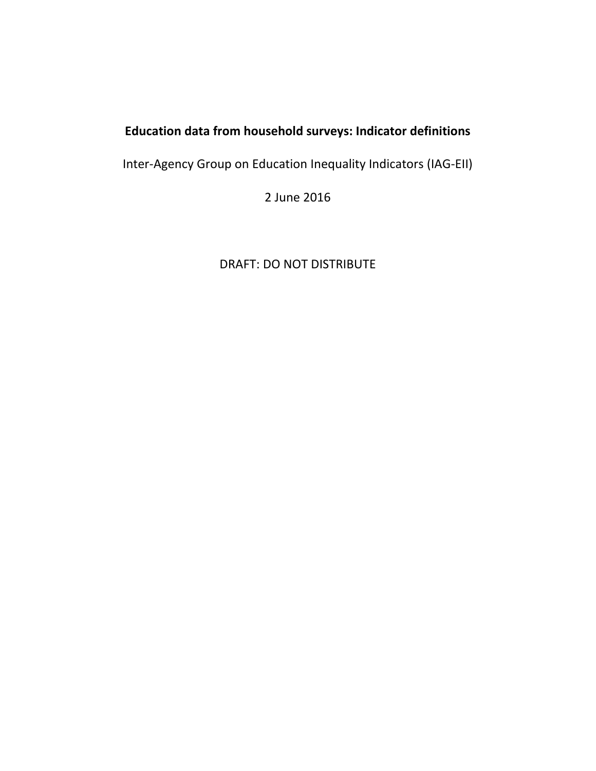# **Education data from household surveys: Indicator definitions**

Inter‐Agency Group on Education Inequality Indicators (IAG‐EII)

2 June 2016

DRAFT: DO NOT DISTRIBUTE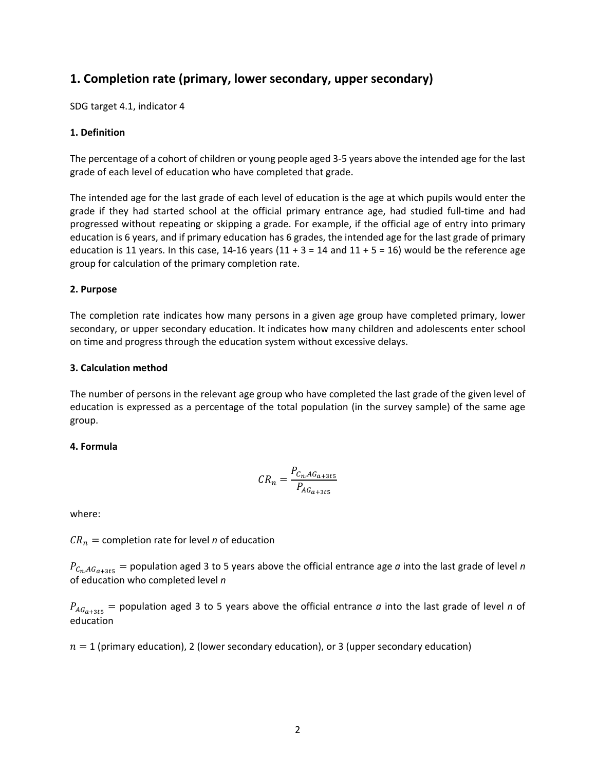## 1. Completion rate (primary, lower secondary, upper secondary)

SDG target 4.1, indicator 4

## 1. Definition

The percentage of a cohort of children or young people aged 3-5 years above the intended age for the last grade of each level of education who have completed that grade.

The intended age for the last grade of each level of education is the age at which pupils would enter the grade if they had started school at the official primary entrance age, had studied full-time and had progressed without repeating or skipping a grade. For example, if the official age of entry into primary education is 6 years, and if primary education has 6 grades, the intended age for the last grade of primary education is 11 years. In this case, 14-16 years  $(11 + 3 = 14$  and  $11 + 5 = 16)$  would be the reference age group for calculation of the primary completion rate.

## 2. Purpose

The completion rate indicates how many persons in a given age group have completed primary, lower secondary, or upper secondary education. It indicates how many children and adolescents enter school on time and progress through the education system without excessive delays.

## 3. Calculation method

The number of persons in the relevant age group who have completed the last grade of the given level of education is expressed as a percentage of the total population (in the survey sample) of the same age group.

## 4. Formula

$$
CR_n = \frac{P_{C_n, AG_{a+3t5}}}{P_{AG_{a+3t5}}}
$$

where:

 $CR_n =$  completion rate for level *n* of education

 $P_{C_n,AG_{a+3ts}}$  = population aged 3 to 5 years above the official entrance age a into the last grade of level n of education who completed level n

 $P_{AG_{a+355}}$  = population aged 3 to 5 years above the official entrance *a* into the last grade of level *n* of education

 $n = 1$  (primary education), 2 (lower secondary education), or 3 (upper secondary education)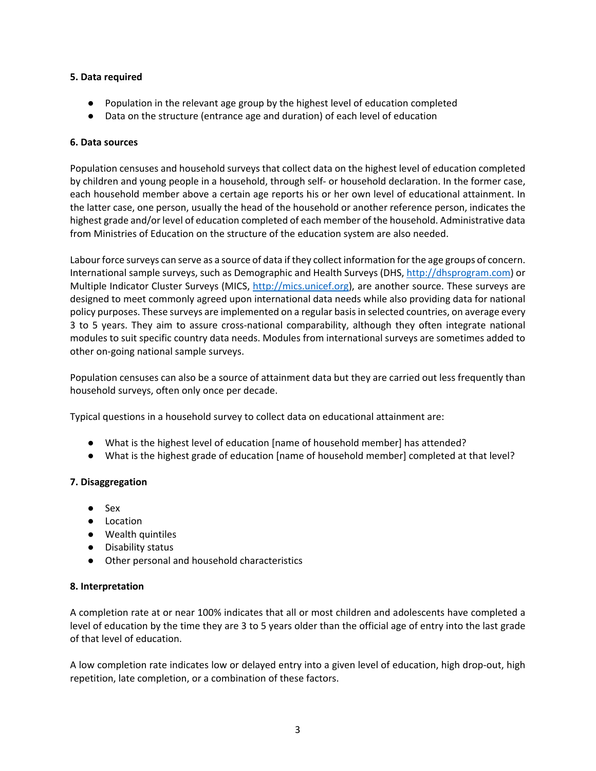## **5. Data required**

- Population in the relevant age group by the highest level of education completed
- Data on the structure (entrance age and duration) of each level of education

## **6. Data sources**

Population censuses and household surveys that collect data on the highest level of education completed by children and young people in a household, through self‐ or household declaration. In the former case, each household member above a certain age reports his or her own level of educational attainment. In the latter case, one person, usually the head of the household or another reference person, indicates the highest grade and/or level of education completed of each member of the household. Administrative data from Ministries of Education on the structure of the education system are also needed.

Labour force surveys can serve as a source of data if they collect information for the age groups of concern. International sample surveys, such as Demographic and Health Surveys (DHS, http://dhsprogram.com) or Multiple Indicator Cluster Surveys (MICS, http://mics.unicef.org), are another source. These surveys are designed to meet commonly agreed upon international data needs while also providing data for national policy purposes. These surveys are implemented on a regular basis in selected countries, on average every 3 to 5 years. They aim to assure cross-national comparability, although they often integrate national modules to suit specific country data needs. Modules from international surveys are sometimes added to other on‐going national sample surveys.

Population censuses can also be a source of attainment data but they are carried out less frequently than household surveys, often only once per decade.

Typical questions in a household survey to collect data on educational attainment are:

- What is the highest level of education [name of household member] has attended?
- What is the highest grade of education [name of household member] completed at that level?

## **7. Disaggregation**

- Sex
- Location
- Wealth quintiles
- Disability status
- Other personal and household characteristics

## **8. Interpretation**

A completion rate at or near 100% indicates that all or most children and adolescents have completed a level of education by the time they are 3 to 5 years older than the official age of entry into the last grade of that level of education.

A low completion rate indicates low or delayed entry into a given level of education, high drop‐out, high repetition, late completion, or a combination of these factors.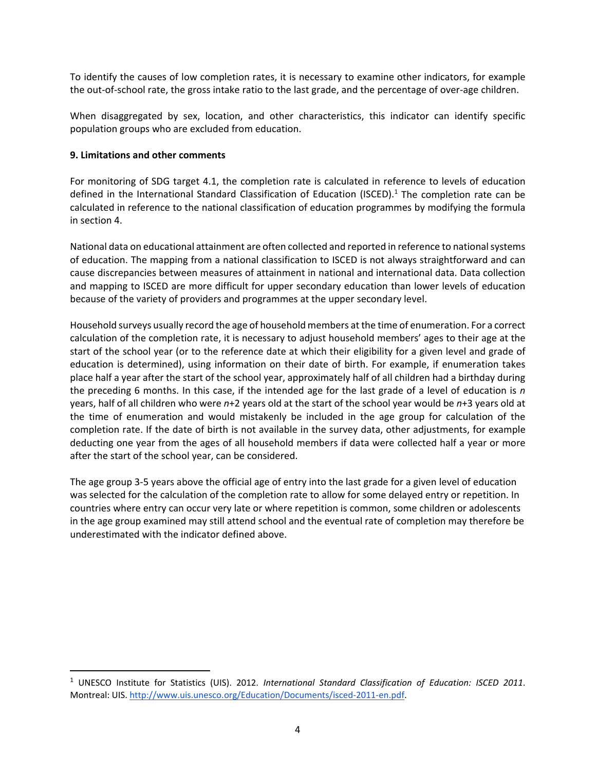To identify the causes of low completion rates, it is necessary to examine other indicators, for example the out-of-school rate, the gross intake ratio to the last grade, and the percentage of over-age children.

When disaggregated by sex, location, and other characteristics, this indicator can identify specific population groups who are excluded from education.

## **9. Limitations and other comments**

For monitoring of SDG target 4.1, the completion rate is calculated in reference to levels of education defined in the International Standard Classification of Education (ISCED).<sup>1</sup> The completion rate can be calculated in reference to the national classification of education programmes by modifying the formula in section 4.

National data on educational attainment are often collected and reported in reference to national systems of education. The mapping from a national classification to ISCED is not always straightforward and can cause discrepancies between measures of attainment in national and international data. Data collection and mapping to ISCED are more difficult for upper secondary education than lower levels of education because of the variety of providers and programmes at the upper secondary level.

Household surveys usually record the age of household members at the time of enumeration. For a correct calculation of the completion rate, it is necessary to adjust household members' ages to their age at the start of the school year (or to the reference date at which their eligibility for a given level and grade of education is determined), using information on their date of birth. For example, if enumeration takes place half a year after the start of the school year, approximately half of all children had a birthday during the preceding 6 months. In this case, if the intended age for the last grade of a level of education is *n* years, half of all children who were *n*+2 years old at the start of the school year would be *n*+3 years old at the time of enumeration and would mistakenly be included in the age group for calculation of the completion rate. If the date of birth is not available in the survey data, other adjustments, for example deducting one year from the ages of all household members if data were collected half a year or more after the start of the school year, can be considered.

The age group 3‐5 years above the official age of entry into the last grade for a given level of education was selected for the calculation of the completion rate to allow for some delayed entry or repetition. In countries where entry can occur very late or where repetition is common, some children or adolescents in the age group examined may still attend school and the eventual rate of completion may therefore be underestimated with the indicator defined above.

<sup>&</sup>lt;sup>1</sup> UNESCO Institute for Statistics (UIS). 2012. International Standard Classification of Education: ISCED 2011. Montreal: UIS. http://www.uis.unesco.org/Education/Documents/isced‐2011‐en.pdf.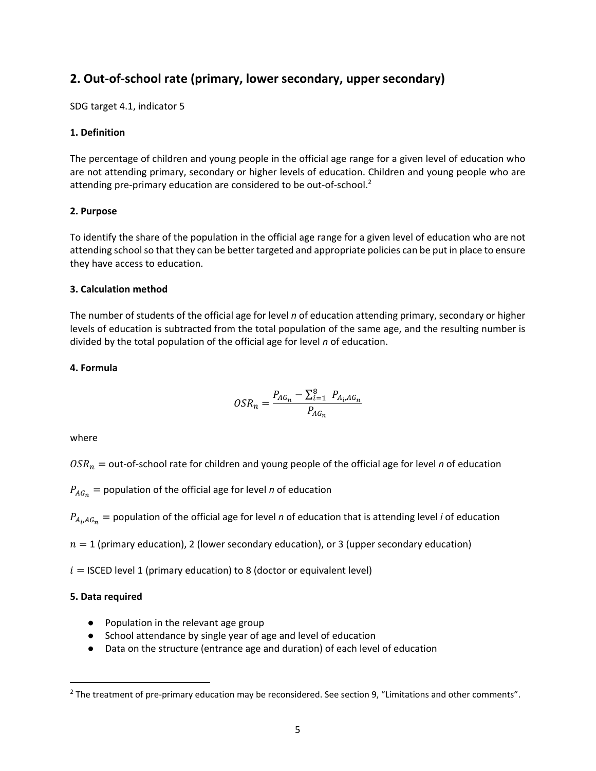## 2. Out-of-school rate (primary, lower secondary, upper secondary)

SDG target 4.1, indicator 5

## 1. Definition

The percentage of children and young people in the official age range for a given level of education who are not attending primary, secondary or higher levels of education. Children and young people who are attending pre-primary education are considered to be out-of-school.<sup>2</sup>

## 2. Purpose

To identify the share of the population in the official age range for a given level of education who are not attending school so that they can be better targeted and appropriate policies can be put in place to ensure they have access to education.

## 3. Calculation method

The number of students of the official age for level  $n$  of education attending primary, secondary or higher levels of education is subtracted from the total population of the same age, and the resulting number is divided by the total population of the official age for level  $n$  of education.

## 4. Formula

$$
OSR_n = \frac{P_{AG_n} - \sum_{i=1}^{8} P_{A_i, AG_n}}{P_{AG_n}}
$$

where

 $OSR_n =$  out-of-school rate for children and young people of the official age for level n of education

 $P_{AG_n}$  = population of the official age for level *n* of education

 $P_{A_i,AG_n}$  = population of the official age for level *n* of education that is attending level *i* of education

 $n=1$  (primary education), 2 (lower secondary education), or 3 (upper secondary education)

 $i =$  ISCED level 1 (primary education) to 8 (doctor or equivalent level)

## 5. Data required

- Population in the relevant age group
- School attendance by single year of age and level of education
- Data on the structure (entrance age and duration) of each level of education

 $2$  The treatment of pre-primary education may be reconsidered. See section 9, "Limitations and other comments".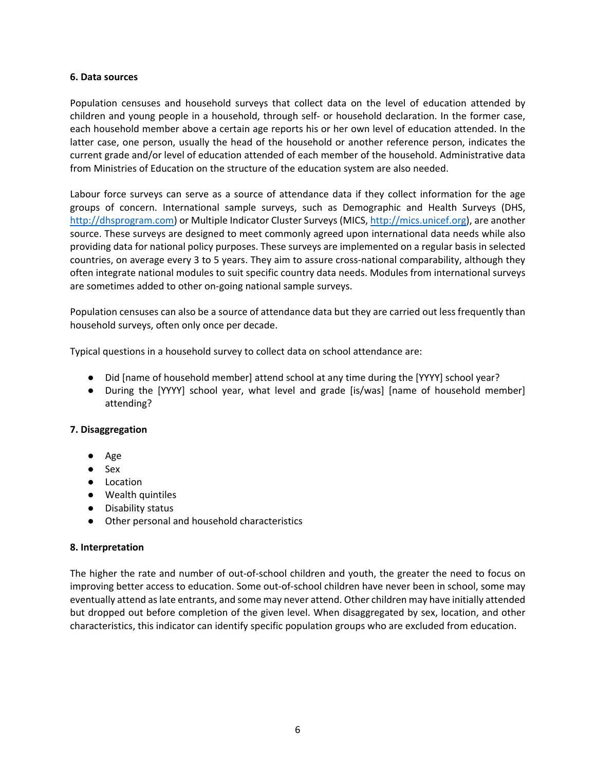#### **6. Data sources**

Population censuses and household surveys that collect data on the level of education attended by children and young people in a household, through self‐ or household declaration. In the former case, each household member above a certain age reports his or her own level of education attended. In the latter case, one person, usually the head of the household or another reference person, indicates the current grade and/or level of education attended of each member of the household. Administrative data from Ministries of Education on the structure of the education system are also needed.

Labour force surveys can serve as a source of attendance data if they collect information for the age groups of concern. International sample surveys, such as Demographic and Health Surveys (DHS, http://dhsprogram.com) or Multiple Indicator Cluster Surveys (MICS, http://mics.unicef.org), are another source. These surveys are designed to meet commonly agreed upon international data needs while also providing data for national policy purposes. These surveys are implemented on a regular basis in selected countries, on average every 3 to 5 years. They aim to assure cross-national comparability, although they often integrate national modules to suit specific country data needs. Modules from international surveys are sometimes added to other on‐going national sample surveys.

Population censuses can also be a source of attendance data but they are carried out less frequently than household surveys, often only once per decade.

Typical questions in a household survey to collect data on school attendance are:

- Did [name of household member] attend school at any time during the [YYYY] school year?
- During the [YYYY] school year, what level and grade [is/was] [name of household member] attending?

## **7. Disaggregation**

- Age
- Sex
- Location
- Wealth quintiles
- Disability status
- Other personal and household characteristics

#### **8. Interpretation**

The higher the rate and number of out-of-school children and youth, the greater the need to focus on improving better access to education. Some out‐of‐school children have never been in school, some may eventually attend as late entrants, and some may never attend. Other children may have initially attended but dropped out before completion of the given level. When disaggregated by sex, location, and other characteristics, this indicator can identify specific population groups who are excluded from education.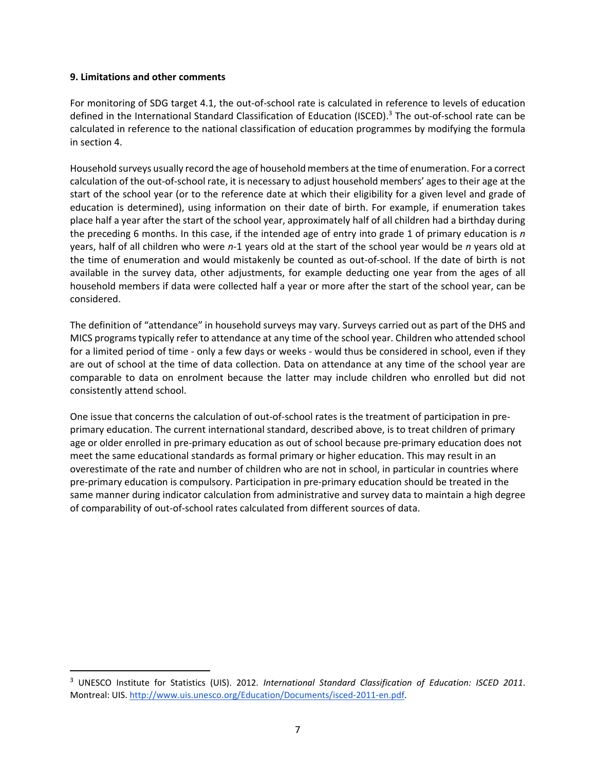#### **9. Limitations and other comments**

For monitoring of SDG target 4.1, the out-of-school rate is calculated in reference to levels of education defined in the International Standard Classification of Education (ISCED).<sup>3</sup> The out-of-school rate can be calculated in reference to the national classification of education programmes by modifying the formula in section 4.

Household surveys usually record the age of household members at the time of enumeration. For a correct calculation of the out‐of‐school rate, it is necessary to adjust household members' ages to their age at the start of the school year (or to the reference date at which their eligibility for a given level and grade of education is determined), using information on their date of birth. For example, if enumeration takes place half a year after the start of the school year, approximately half of all children had a birthday during the preceding 6 months. In this case, if the intended age of entry into grade 1 of primary education is *n* years, half of all children who were *n‐*1 years old at the start of the school year would be *n* years old at the time of enumeration and would mistakenly be counted as out‐of‐school. If the date of birth is not available in the survey data, other adjustments, for example deducting one year from the ages of all household members if data were collected half a year or more after the start of the school year, can be considered.

The definition of "attendance" in household surveys may vary. Surveys carried out as part of the DHS and MICS programs typically refer to attendance at any time of the school year. Children who attended school for a limited period of time - only a few days or weeks - would thus be considered in school, even if they are out of school at the time of data collection. Data on attendance at any time of the school year are comparable to data on enrolment because the latter may include children who enrolled but did not consistently attend school.

One issue that concerns the calculation of out-of-school rates is the treatment of participation in preprimary education. The current international standard, described above, is to treat children of primary age or older enrolled in pre‐primary education as out of school because pre‐primary education does not meet the same educational standards as formal primary or higher education. This may result in an overestimate of the rate and number of children who are not in school, in particular in countries where pre‐primary education is compulsory. Participation in pre‐primary education should be treated in the same manner during indicator calculation from administrative and survey data to maintain a high degree of comparability of out‐of‐school rates calculated from different sources of data.

<sup>&</sup>lt;sup>3</sup> UNESCO Institute for Statistics (UIS). 2012. International Standard Classification of Education: ISCED 2011. Montreal: UIS. http://www.uis.unesco.org/Education/Documents/isced‐2011‐en.pdf.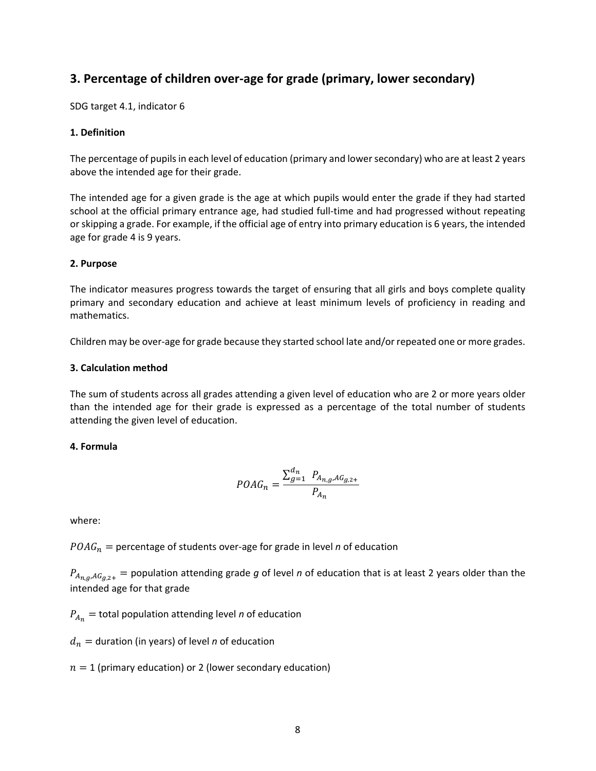## **3. Percentage of children over‐age for grade (primary, lower secondary)**

SDG target 4.1, indicator 6

## **1. Definition**

The percentage of pupils in each level of education (primary and lower secondary) who are at least 2 years above the intended age for their grade.

The intended age for a given grade is the age at which pupils would enter the grade if they had started school at the official primary entrance age, had studied full‐time and had progressed without repeating or skipping a grade. For example, if the official age of entry into primary education is 6 years, the intended age for grade 4 is 9 years.

## **2. Purpose**

The indicator measures progress towards the target of ensuring that all girls and boys complete quality primary and secondary education and achieve at least minimum levels of proficiency in reading and mathematics.

Children may be over‐age for grade because they started school late and/or repeated one or more grades.

## **3. Calculation method**

The sum of students across all grades attending a given level of education who are 2 or more years older than the intended age for their grade is expressed as a percentage of the total number of students attending the given level of education.

## **4. Formula**

$$
POAG_n = \frac{\sum_{g=1}^{d_n} P_{A_{n,g},AG_{g,2+}}}{P_{A_n}}
$$

where:

 $POAG_n$  = percentage of students over-age for grade in level *n* of education

 $P_{A_{n,g},AG_{g,2+}} =$  population attending grade *g* of level *n* of education that is at least 2 years older than the intended age for that grade

 $P_{A_n}$  = total population attending level *n* of education

 $d_n$  = duration (in years) of level *n* of education

 $n = 1$  (primary education) or 2 (lower secondary education)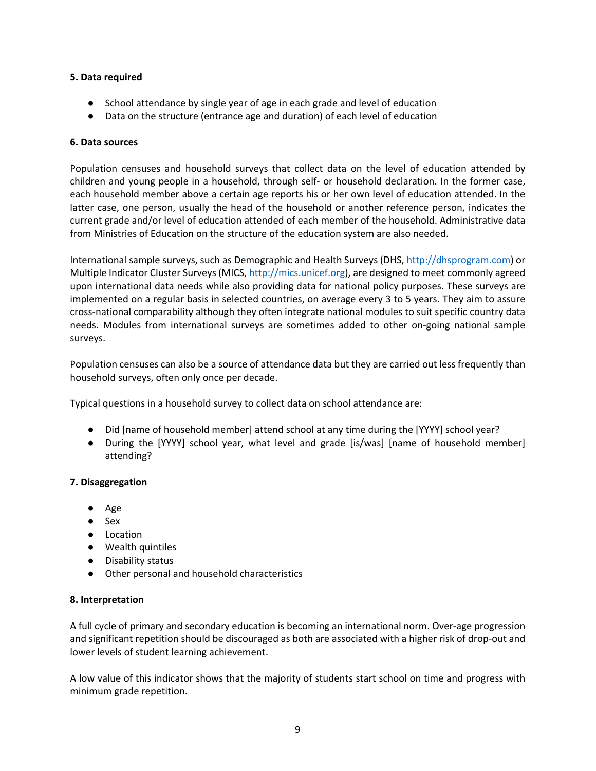## **5. Data required**

- School attendance by single year of age in each grade and level of education
- Data on the structure (entrance age and duration) of each level of education

## **6. Data sources**

Population censuses and household surveys that collect data on the level of education attended by children and young people in a household, through self‐ or household declaration. In the former case, each household member above a certain age reports his or her own level of education attended. In the latter case, one person, usually the head of the household or another reference person, indicates the current grade and/or level of education attended of each member of the household. Administrative data from Ministries of Education on the structure of the education system are also needed.

International sample surveys, such as Demographic and Health Surveys (DHS, http://dhsprogram.com) or Multiple Indicator Cluster Surveys (MICS, http://mics.unicef.org), are designed to meet commonly agreed upon international data needs while also providing data for national policy purposes. These surveys are implemented on a regular basis in selected countries, on average every 3 to 5 years. They aim to assure cross‐national comparability although they often integrate national modules to suit specific country data needs. Modules from international surveys are sometimes added to other on‐going national sample surveys.

Population censuses can also be a source of attendance data but they are carried out less frequently than household surveys, often only once per decade.

Typical questions in a household survey to collect data on school attendance are:

- Did [name of household member] attend school at any time during the [YYYY] school year?
- During the [YYYY] school year, what level and grade [is/was] [name of household member] attending?

## **7. Disaggregation**

- Age
- Sex
- Location
- Wealth quintiles
- Disability status
- Other personal and household characteristics

## **8. Interpretation**

A full cycle of primary and secondary education is becoming an international norm. Over‐age progression and significant repetition should be discouraged as both are associated with a higher risk of drop‐out and lower levels of student learning achievement.

A low value of this indicator shows that the majority of students start school on time and progress with minimum grade repetition.